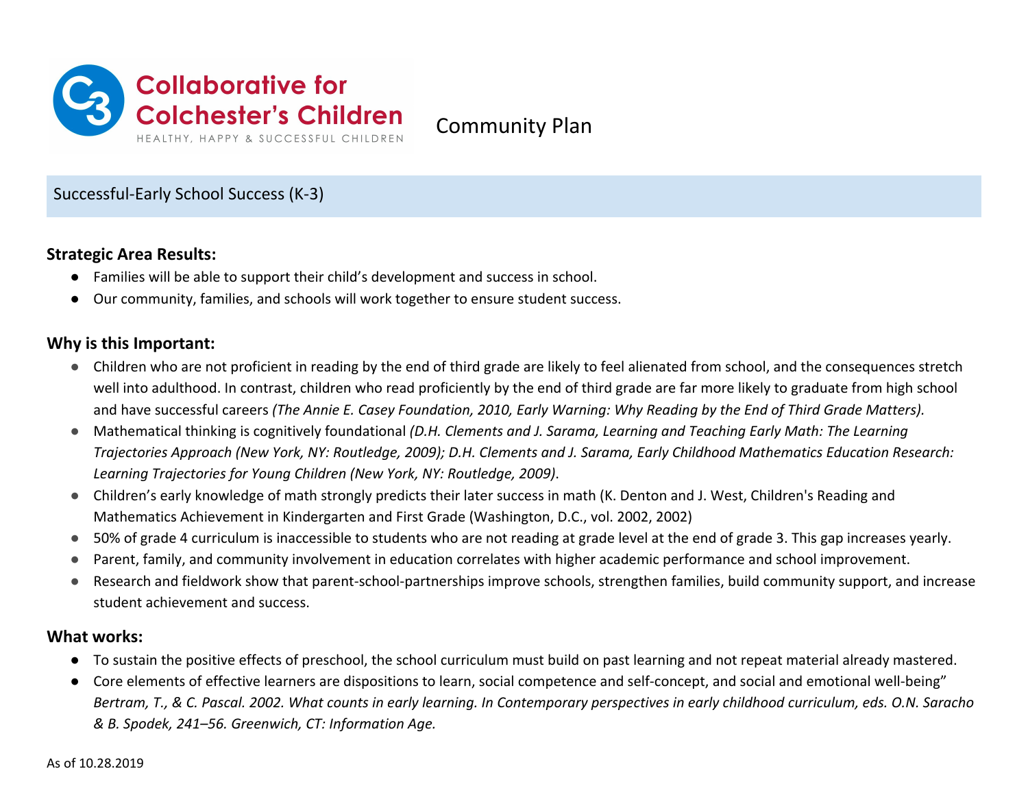

Community Plan

# Successful-Early School Success (K-3)

#### **Strategic Area Results:**

- Families will be able to support their child's development and success in school.
- Our community, families, and schools will work together to ensure student success.

## **Why is this Important:**

- Children who are not proficient in reading by the end of third grade are likely to feel alienated from school, and the consequences stretch well into adulthood. In contrast, children who read proficiently by the end of third grade are far more likely to graduate from high school and have successful careers *(The Annie E. Casey Foundation, 2010, Early Warning: Why Reading by the End of Third Grade Matters).*
- Mathematical thinking is cognitively foundational *(D.H. Clements and J. Sarama, Learning and Teaching Early Math: The Learning Trajectories Approach (New York, NY: Routledge, 2009); D.H. Clements and J. Sarama, Early Childhood Mathematics Education Research: Learning Trajectories for Young Children (New York, NY: Routledge, 2009)*.
- Children's early knowledge of math strongly predicts their later success in math (K. Denton and J. West, Children's Reading and Mathematics Achievement in Kindergarten and First Grade (Washington, D.C., vol. 2002, 2002)
- 50% of grade 4 curriculum is inaccessible to students who are not reading at grade level at the end of grade 3. This gap increases yearly.
- Parent, family, and community involvement in education correlates with higher academic performance and school improvement.
- Research and fieldwork show that parent-school-partnerships improve schools, strengthen families, build community support, and increase student achievement and success.

### **What works:**

- To sustain the positive effects of preschool, the school curriculum must build on past learning and not repeat material already mastered.
- Core elements of effective learners are dispositions to learn, social competence and self-concept, and social and emotional well-being" *Bertram, T., & C. Pascal. 2002. What counts in early learning. In Contemporary perspectives in early childhood curriculum, eds. O.N. Saracho & B. Spodek, 241–56. Greenwich, CT: Information Age.*